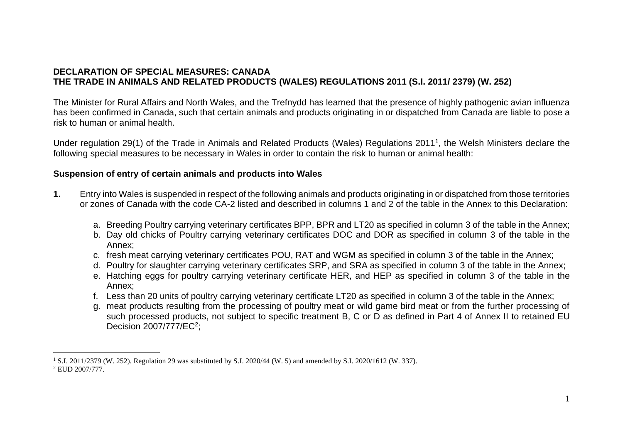# **DECLARATION OF SPECIAL MEASURES: CANADA THE TRADE IN ANIMALS AND RELATED PRODUCTS (WALES) REGULATIONS 2011 (S.I. 2011/ 2379) (W. 252)**

The Minister for Rural Affairs and North Wales, and the Trefnydd has learned that the presence of highly pathogenic avian influenza has been confirmed in Canada, such that certain animals and products originating in or dispatched from Canada are liable to pose a risk to human or animal health.

Under regulation 29(1) of the Trade in Animals and Related Products (Wales) Regulations 2011<sup>1</sup>, the Welsh Ministers declare the following special measures to be necessary in Wales in order to contain the risk to human or animal health:

# **Suspension of entry of certain animals and products into Wales**

- **1.** Entry into Wales is suspended in respect of the following animals and products originating in or dispatched from those territories or zones of Canada with the code CA-2 listed and described in columns 1 and 2 of the table in the Annex to this Declaration:
	- a. Breeding Poultry carrying veterinary certificates BPP, BPR and LT20 as specified in column 3 of the table in the Annex;
	- b. Day old chicks of Poultry carrying veterinary certificates DOC and DOR as specified in column 3 of the table in the Annex;
	- c. fresh meat carrying veterinary certificates POU, RAT and WGM as specified in column 3 of the table in the Annex;
	- d. Poultry for slaughter carrying veterinary certificates SRP, and SRA as specified in column 3 of the table in the Annex;
	- e. Hatching eggs for poultry carrying veterinary certificate HER, and HEP as specified in column 3 of the table in the Annex;
	- f. Less than 20 units of poultry carrying veterinary certificate LT20 as specified in column 3 of the table in the Annex;
	- g. meat products resulting from the processing of poultry meat or wild game bird meat or from the further processing of such processed products, not subject to specific treatment B, C or D as defined in Part 4 of Annex II to retained EU Decision 2007/777/EC<sup>2</sup>;

<sup>1</sup> S.I. 2011/2379 (W. 252). Regulation 29 was substituted by S.I. 2020/44 (W. 5) and amended by S.I. 2020/1612 (W. 337). <sup>2</sup> EUD 2007/777.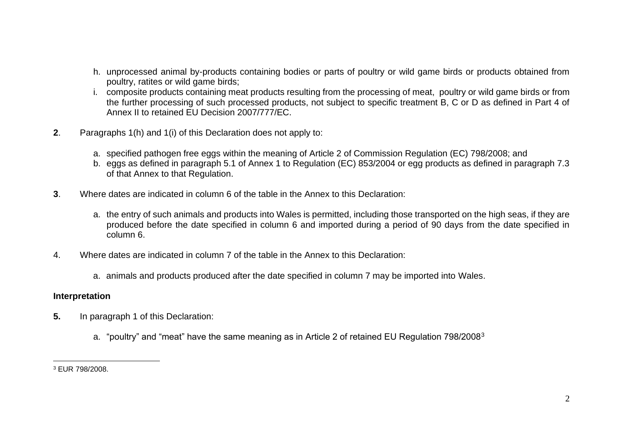- h. unprocessed animal by-products containing bodies or parts of poultry or wild game birds or products obtained from poultry, ratites or wild game birds;
- i. composite products containing meat products resulting from the processing of meat, poultry or wild game birds or from the further processing of such processed products, not subject to specific treatment B, C or D as defined in Part 4 of Annex II to retained EU Decision 2007/777/EC.
- **2**. Paragraphs 1(h) and 1(i) of this Declaration does not apply to:
	- a. specified pathogen free eggs within the meaning of Article 2 of Commission Regulation (EC) 798/2008; and
	- b. eggs as defined in paragraph 5.1 of Annex 1 to Regulation (EC) 853/2004 or egg products as defined in paragraph 7.3 of that Annex to that Regulation.
- **3**. Where dates are indicated in column 6 of the table in the Annex to this Declaration:
	- a. the entry of such animals and products into Wales is permitted, including those transported on the high seas, if they are produced before the date specified in column 6 and imported during a period of 90 days from the date specified in column 6.
- 4. Where dates are indicated in column 7 of the table in the Annex to this Declaration:
	- a. animals and products produced after the date specified in column 7 may be imported into Wales.

#### **Interpretation**

- **5.** In paragraph 1 of this Declaration:
	- a. "poultry" and "meat" have the same meaning as in Article 2 of retained EU Regulation 798/2008<sup>3</sup>

<sup>3</sup> EUR 798/2008.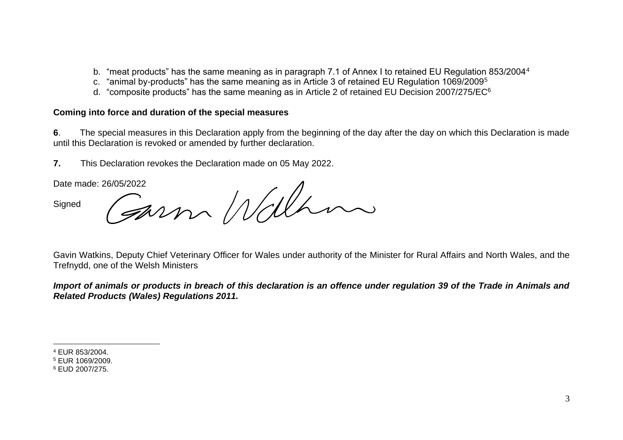- b. "meat products" has the same meaning as in paragraph 7.1 of Annex I to retained EU Regulation 853/2004<sup>4</sup>
- c. "animal by-products" has the same meaning as in Article 3 of retained EU Regulation 1069/2009<sup>5</sup>
- d. "composite products" has the same meaning as in Article 2 of retained EU Decision 2007/275/EC<sup>6</sup>

## **Coming into force and duration of the special measures**

**6**. The special measures in this Declaration apply from the beginning of the day after the day on which this Declaration is made until this Declaration is revoked or amended by further declaration.

**7.** This Declaration revokes the Declaration made on 05 May 2022.

**Signed** 

Date made: 26/05/2022

Gavin Watkins, Deputy Chief Veterinary Officer for Wales under authority of the Minister for Rural Affairs and North Wales, and the Trefnydd, one of the Welsh Ministers

*Import of animals or products in breach of this declaration is an offence under regulation 39 of the Trade in Animals and Related Products (Wales) Regulations 2011.* 

<sup>4</sup> EUR 853/2004.

<sup>5</sup> EUR 1069/2009.

<sup>6</sup> EUD 2007/275.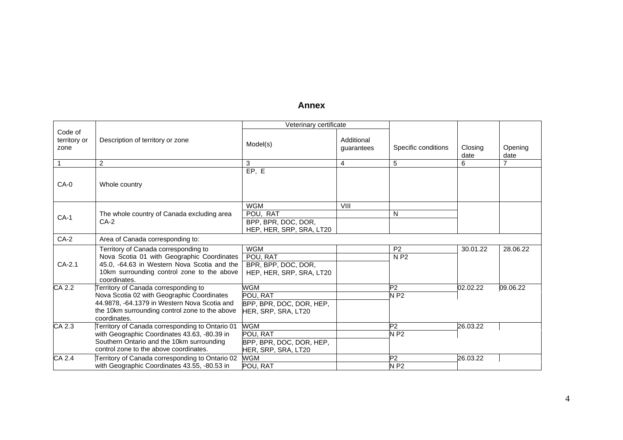## **Annex**

|                                 |                                                                | Veterinary certificate   |                          |                     |                 |                 |
|---------------------------------|----------------------------------------------------------------|--------------------------|--------------------------|---------------------|-----------------|-----------------|
| Code of<br>territory or<br>zone | Description of territory or zone                               | Model(s)                 | Additional<br>quarantees | Specific conditions | Closing<br>date | Opening<br>date |
| 1                               | 2                                                              | 3                        | 4                        | 5                   | 6               | $\overline{7}$  |
| CA-0                            | Whole country                                                  | EP, E                    |                          |                     |                 |                 |
|                                 |                                                                | <b>WGM</b>               | VIII                     |                     |                 |                 |
| $CA-1$                          | The whole country of Canada excluding area                     | POU, RAT                 |                          | N                   |                 |                 |
|                                 | $CA-2$                                                         | BPP, BPR, DOC, DOR,      |                          |                     |                 |                 |
|                                 |                                                                | HEP, HER, SRP, SRA, LT20 |                          |                     |                 |                 |
| $CA-2$                          | Area of Canada corresponding to:                               |                          |                          |                     |                 |                 |
|                                 | Territory of Canada corresponding to                           | <b>WGM</b>               |                          | P <sub>2</sub>      | 30.01.22        | 28.06.22        |
|                                 | Nova Scotia 01 with Geographic Coordinates                     | POU, RAT                 |                          | N P2                |                 |                 |
| CA-2.1                          | 45.0, -64.63 in Western Nova Scotia and the                    | BPR, BPP, DOC, DOR,      |                          |                     |                 |                 |
|                                 | 10km surrounding control zone to the above<br>coordinates.     | HEP, HER, SRP, SRA, LT20 |                          |                     |                 |                 |
| $\overline{CA\ 2.2}$            | Territory of Canada corresponding to                           | <b>WGM</b>               |                          | P <sub>2</sub>      | 02.02.22        | 09.06.22        |
|                                 | Nova Scotia 02 with Geographic Coordinates                     | POU. RAT                 |                          | <b>NP2</b>          |                 |                 |
|                                 | 44.9878, -64.1379 in Western Nova Scotia and                   | BPP, BPR, DOC, DOR, HEP, |                          |                     |                 |                 |
|                                 | the 10km surrounding control zone to the above<br>coordinates. | HER, SRP, SRA, LT20      |                          |                     |                 |                 |
| CA 2.3                          | Territory of Canada corresponding to Ontario 01                | <b>WGM</b>               |                          | P <sub>2</sub>      | 26.03.22        |                 |
|                                 | with Geographic Coordinates 43.63, -80.39 in                   | POU. RAT                 |                          | <b>NP2</b>          |                 |                 |
|                                 | Southern Ontario and the 10km surrounding                      | BPP, BPR, DOC, DOR, HEP, |                          |                     |                 |                 |
|                                 | control zone to the above coordinates.                         | HER, SRP, SRA, LT20      |                          |                     |                 |                 |
| $CA$ 2.4                        | Territory of Canada corresponding to Ontario 02                | <b>WGM</b>               |                          | P2                  | 26.03.22        |                 |
|                                 | with Geographic Coordinates 43.55, -80.53 in                   | POU, RAT                 |                          | $N$ P2              |                 |                 |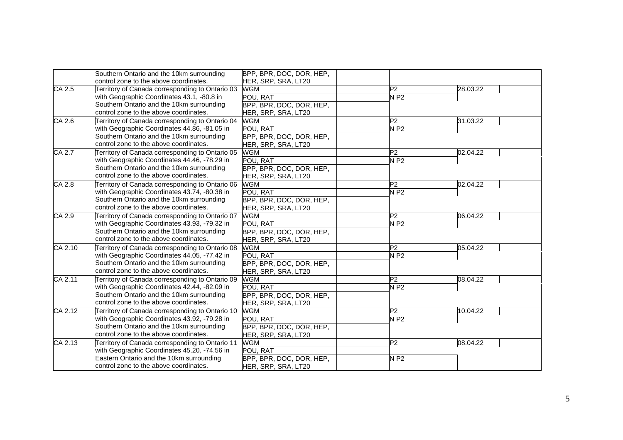|                     | Southern Ontario and the 10km surrounding       | BPP, BPR, DOC, DOR, HEP, |                    |          |
|---------------------|-------------------------------------------------|--------------------------|--------------------|----------|
|                     | control zone to the above coordinates.          | HER, SRP, SRA, LT20      |                    |          |
| $\overline{CA}$ 2.5 | Territory of Canada corresponding to Ontario 03 | <b>WGM</b>               | P2                 | 28.03.22 |
|                     | with Geographic Coordinates 43.1, -80.8 in      | POU, RAT                 | $N$ P2             |          |
|                     | Southern Ontario and the 10km surrounding       | BPP, BPR, DOC, DOR, HEP, |                    |          |
|                     | control zone to the above coordinates.          | HER, SRP, SRA, LT20      |                    |          |
| CA 2.6              | Territory of Canada corresponding to Ontario 04 | <b>WGM</b>               | P <sub>2</sub>     | 31.03.22 |
|                     | with Geographic Coordinates 44.86, -81.05 in    | POU, RAT                 | $N$ P <sub>2</sub> |          |
|                     | Southern Ontario and the 10km surrounding       | BPP, BPR, DOC, DOR, HEP, |                    |          |
|                     | control zone to the above coordinates.          | HER, SRP, SRA, LT20      |                    |          |
| CA 2.7              | Territory of Canada corresponding to Ontario 05 | <b>WGM</b>               | P2                 | 02.04.22 |
|                     | with Geographic Coordinates 44.46, -78.29 in    | POU, RAT                 | NP2                |          |
|                     | Southern Ontario and the 10km surrounding       | BPP, BPR, DOC, DOR, HEP, |                    |          |
|                     | control zone to the above coordinates.          | HER, SRP, SRA, LT20      |                    |          |
| CA 2.8              | Territory of Canada corresponding to Ontario 06 | <b>WGM</b>               | P <sub>2</sub>     | 02.04.22 |
|                     | with Geographic Coordinates 43.74, -80.38 in    | POU, RAT                 | NP2                |          |
|                     | Southern Ontario and the 10km surrounding       | BPP, BPR, DOC, DOR, HEP, |                    |          |
|                     | control zone to the above coordinates.          | HER, SRP, SRA, LT20      |                    |          |
| CA 2.9              | Territory of Canada corresponding to Ontario 07 | <b>WGM</b>               | P <sub>2</sub>     | 06.04.22 |
|                     | with Geographic Coordinates 43.93, -79.32 in    | POU, RAT                 | <b>NP2</b>         |          |
|                     | Southern Ontario and the 10km surrounding       | BPP, BPR, DOC, DOR, HEP, |                    |          |
|                     | control zone to the above coordinates.          | HER, SRP, SRA, LT20      |                    |          |
| CA 2.10             | Territory of Canada corresponding to Ontario 08 | <b>WGM</b>               | P <sub>2</sub>     | 05.04.22 |
|                     | with Geographic Coordinates 44.05, -77.42 in    | POU, RAT                 | $N$ P2             |          |
|                     | Southern Ontario and the 10km surrounding       | BPP, BPR, DOC, DOR, HEP, |                    |          |
|                     | control zone to the above coordinates.          | HER, SRP, SRA, LT20      |                    |          |
| CA 2.11             | Territory of Canada corresponding to Ontario 09 | <b>WGM</b>               | P <sub>2</sub>     | 08.04.22 |
|                     | with Geographic Coordinates 42.44, -82.09 in    | POU. RAT                 | $N$ P2             |          |
|                     | Southern Ontario and the 10km surrounding       | BPP, BPR, DOC, DOR, HEP, |                    |          |
|                     | control zone to the above coordinates.          | HER, SRP, SRA, LT20      |                    |          |
| CA 2.12             | Territory of Canada corresponding to Ontario 10 | <b>WGM</b>               | P <sub>2</sub>     | 10.04.22 |
|                     | with Geographic Coordinates 43.92, -79.28 in    | POU, RAT                 | $N$ P <sub>2</sub> |          |
|                     | Southern Ontario and the 10km surrounding       | BPP, BPR, DOC, DOR, HEP, |                    |          |
|                     | control zone to the above coordinates.          | HER, SRP, SRA, LT20      |                    |          |
| CA 2.13             | Territory of Canada corresponding to Ontario 11 | <b>WGM</b>               | P2                 | 08.04.22 |
|                     | with Geographic Coordinates 45.20, -74.56 in    | POU. RAT                 |                    |          |
|                     | Eastern Ontario and the 10km surrounding        | BPP, BPR, DOC, DOR, HEP, | N P <sub>2</sub>   |          |
|                     | control zone to the above coordinates.          | HER, SRP, SRA, LT20      |                    |          |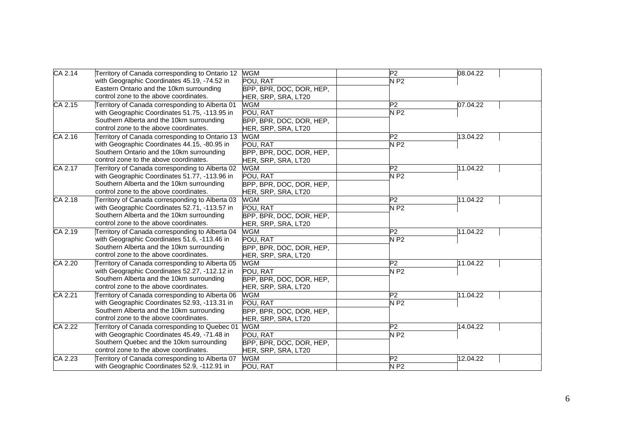| $CA$ 2.14            | Territory of Canada corresponding to Ontario 12                                                 | <b>WGM</b>               | $\overline{P2}$ | 08.04.22 |
|----------------------|-------------------------------------------------------------------------------------------------|--------------------------|-----------------|----------|
|                      | with Geographic Coordinates 45.19, -74.52 in                                                    | POU. RAT                 | <b>NP2</b>      |          |
|                      | Eastern Ontario and the 10km surrounding                                                        | BPP, BPR, DOC, DOR, HEP, |                 |          |
|                      | control zone to the above coordinates.                                                          | HER, SRP, SRA, LT20      |                 |          |
| $\overline{CA}$ 2.15 | Territory of Canada corresponding to Alberta 01                                                 | <b>WGM</b>               | P2              | 07.04.22 |
|                      | with Geographic Coordinates 51.75, -113.95 in                                                   | POU, RAT                 | NP2             |          |
|                      | Southern Alberta and the 10km surrounding                                                       | BPP, BPR, DOC, DOR, HEP, |                 |          |
|                      | control zone to the above coordinates.                                                          | HER, SRP, SRA, LT20      |                 |          |
| CA 2.16              | Territory of Canada corresponding to Ontario 13                                                 | WGM                      | P2              | 13.04.22 |
|                      | with Geographic Coordinates 44.15, -80.95 in                                                    | POU, RAT                 | NP2             |          |
|                      | Southern Ontario and the 10km surrounding                                                       | BPP, BPR, DOC, DOR, HEP, |                 |          |
|                      | control zone to the above coordinates.                                                          | HER, SRP, SRA, LT20      |                 |          |
| CA 2.17              | Territory of Canada corresponding to Alberta 02                                                 | <b>WGM</b>               | $\overline{P2}$ | 11.04.22 |
|                      | with Geographic Coordinates 51.77, -113.96 in                                                   | POU, RAT                 | $N$ P2          |          |
|                      | Southern Alberta and the 10km surrounding                                                       | BPP, BPR, DOC, DOR, HEP, |                 |          |
|                      | control zone to the above coordinates.                                                          | HER, SRP, SRA, LT20      |                 |          |
| CA 2.18              | Territory of Canada corresponding to Alberta 03                                                 | <b>WGM</b>               | P2              | 11.04.22 |
|                      | with Geographic Coordinates 52.71, -113.57 in                                                   | POU, RAT                 | $N$ P2          |          |
|                      | Southern Alberta and the 10km surrounding                                                       | BPP, BPR, DOC, DOR, HEP, |                 |          |
|                      | control zone to the above coordinates.                                                          | HER, SRP, SRA, LT20      |                 |          |
| CA 2.19              | Territory of Canada corresponding to Alberta 04<br>with Geographic Coordinates 51.6, -113.46 in | <b>WGM</b>               | P <sub>2</sub>  | 11.04.22 |
|                      |                                                                                                 | POU, RAT                 | $N$ P2          |          |
|                      | Southern Alberta and the 10km surrounding                                                       | BPP, BPR, DOC, DOR, HEP, |                 |          |
|                      | control zone to the above coordinates.                                                          | HER, SRP, SRA, LT20      |                 |          |
| CA 2.20              | Territory of Canada corresponding to Alberta 05                                                 | <b>WGM</b>               | P <sub>2</sub>  | 11.04.22 |
|                      | with Geographic Coordinates 52.27, -112.12 in                                                   | POU, RAT                 | <b>NP2</b>      |          |
|                      | Southern Alberta and the 10km surrounding                                                       | BPP, BPR, DOC, DOR, HEP, |                 |          |
|                      | control zone to the above coordinates.                                                          | HER, SRP, SRA, LT20      |                 |          |
| CA 2.21              | Territory of Canada corresponding to Alberta 06                                                 | <b>WGM</b>               | P2              | 11.04.22 |
|                      | with Geographic Coordinates 52.93, -113.31 in                                                   | POU, RAT                 | $N$ P2          |          |
|                      | Southern Alberta and the 10km surrounding                                                       | BPP, BPR, DOC, DOR, HEP, |                 |          |
|                      | control zone to the above coordinates.                                                          | HER, SRP, SRA, LT20      |                 |          |
| CA 2.22              | Territory of Canada corresponding to Quebec 01                                                  | <b>WGM</b>               | P2              | 14.04.22 |
|                      | with Geographic Coordinates 45.49, -71.48 in                                                    | POU, RAT                 | <b>NP2</b>      |          |
|                      | Southern Quebec and the 10km surrounding                                                        | BPP, BPR, DOC, DOR, HEP, |                 |          |
|                      | control zone to the above coordinates.                                                          | HER, SRP, SRA, LT20      |                 |          |
| CA 2.23              | Territory of Canada corresponding to Alberta 07                                                 | <b>WGM</b>               | $\overline{P2}$ | 12.04.22 |
|                      | with Geographic Coordinates 52.9, -112.91 in                                                    | POU, RAT                 | $N$ P2          |          |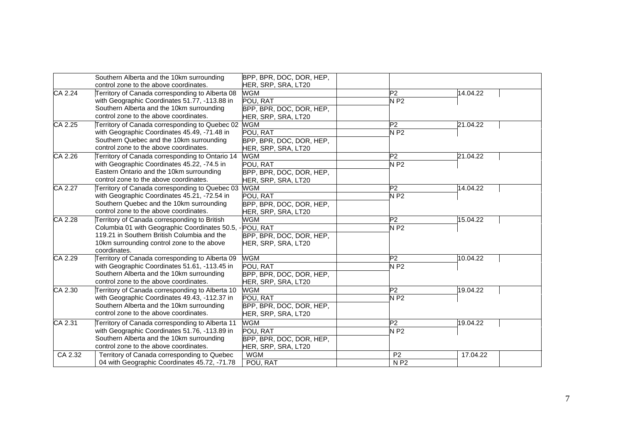|         | Southern Alberta and the 10km surrounding<br>control zone to the above coordinates. | BPP, BPR, DOC, DOR, HEP,<br>HER, SRP, SRA, LT20 |                |          |
|---------|-------------------------------------------------------------------------------------|-------------------------------------------------|----------------|----------|
| CA 2.24 | Territory of Canada corresponding to Alberta 08                                     | <b>WGM</b>                                      | P <sub>2</sub> | 14.04.22 |
|         | with Geographic Coordinates 51.77, -113.88 in                                       | POU, RAT                                        | $N$ P2         |          |
|         | Southern Alberta and the 10km surrounding                                           | BPP, BPR, DOC, DOR, HEP,                        |                |          |
|         | control zone to the above coordinates.                                              | HER, SRP, SRA, LT20                             |                |          |
| CA 2.25 | Territory of Canada corresponding to Quebec 02                                      | <b>WGM</b>                                      | P2             | 21.04.22 |
|         | with Geographic Coordinates 45.49, -71.48 in                                        | POU, RAT                                        | <b>NP2</b>     |          |
|         | Southern Quebec and the 10km surrounding                                            | BPP, BPR, DOC, DOR, HEP,                        |                |          |
|         | control zone to the above coordinates.                                              | HER, SRP, SRA, LT20                             |                |          |
| CA 2.26 | Territory of Canada corresponding to Ontario 14                                     | <b>WGM</b>                                      | P2             | 21.04.22 |
|         | with Geographic Coordinates 45.22, -74.5 in                                         | POU, RAT                                        | $N$ P2         |          |
|         | Eastern Ontario and the 10km surrounding                                            | BPP, BPR, DOC, DOR, HEP,                        |                |          |
|         | control zone to the above coordinates.                                              | HER, SRP, SRA, LT20                             |                |          |
| CA 2.27 | Territory of Canada corresponding to Quebec 03                                      | <b>WGM</b>                                      | P <sub>2</sub> | 14.04.22 |
|         | with Geographic Coordinates 45.21, -72.54 in                                        | POU, RAT                                        | $N$ P2         |          |
|         | Southern Quebec and the 10km surrounding                                            | BPP, BPR, DOC, DOR, HEP,                        |                |          |
|         | control zone to the above coordinates.                                              | HER, SRP, SRA, LT20                             |                |          |
| CA 2.28 | Territory of Canada corresponding to British                                        | <b>WGM</b>                                      | P2             | 15.04.22 |
|         | Columbia 01 with Geographic Coordinates 50.5, - POU, RAT                            |                                                 | $N$ P2         |          |
|         | 119.21 in Southern British Columbia and the                                         | BPP, BPR, DOC, DOR, HEP,                        |                |          |
|         | 10km surrounding control zone to the above                                          | HER, SRP, SRA, LT20                             |                |          |
|         | coordinates.                                                                        |                                                 |                |          |
| CA 2.29 | Territory of Canada corresponding to Alberta 09                                     | <b>WGM</b>                                      | P <sub>2</sub> | 10.04.22 |
|         | with Geographic Coordinates 51.61, -113.45 in                                       | POU, RAT                                        | $N$ P2         |          |
|         | Southern Alberta and the 10km surrounding                                           | BPP, BPR, DOC, DOR, HEP,                        |                |          |
|         | control zone to the above coordinates.                                              | HER, SRP, SRA, LT20                             |                |          |
| CA 2.30 | Territory of Canada corresponding to Alberta 10                                     | <b>WGM</b>                                      | P2             | 19.04.22 |
|         | with Geographic Coordinates 49.43, -112.37 in                                       | POU. RAT                                        | $N$ P2         |          |
|         | Southern Alberta and the 10km surrounding                                           | BPP, BPR, DOC, DOR, HEP,                        |                |          |
|         | control zone to the above coordinates.                                              | HER, SRP, SRA, LT20                             |                |          |
| CA 2.31 | Territory of Canada corresponding to Alberta 11                                     | <b>WGM</b>                                      | P <sub>2</sub> | 19.04.22 |
|         | with Geographic Coordinates 51.76, -113.89 in                                       | POU, RAT                                        | <b>NP2</b>     |          |
|         | Southern Alberta and the 10km surrounding                                           | BPP, BPR, DOC, DOR, HEP,                        |                |          |
|         | control zone to the above coordinates.                                              | HER, SRP, SRA, LT20                             |                |          |
| CA 2.32 | Territory of Canada corresponding to Quebec                                         | <b>WGM</b>                                      | P <sub>2</sub> | 17.04.22 |
|         | 04 with Geographic Coordinates 45.72, -71.78                                        | POU, RAT                                        | N P2           |          |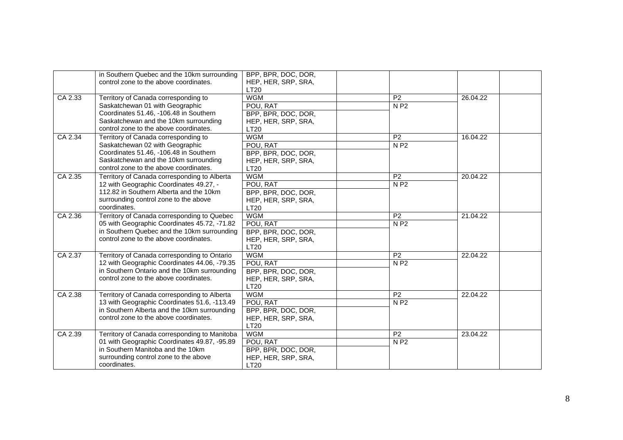|         | in Southern Quebec and the 10km surrounding<br>control zone to the above coordinates.                                                                                                                | BPP, BPR, DOC, DOR,<br>HEP, HER, SRP, SRA,<br><b>LT20</b>                           |                                      |          |
|---------|------------------------------------------------------------------------------------------------------------------------------------------------------------------------------------------------------|-------------------------------------------------------------------------------------|--------------------------------------|----------|
| CA 2.33 | Territory of Canada corresponding to<br>Saskatchewan 01 with Geographic<br>Coordinates 51.46, -106.48 in Southern<br>Saskatchewan and the 10km surrounding<br>control zone to the above coordinates. | <b>WGM</b><br>POU, RAT<br>BPP, BPR, DOC, DOR,<br>HEP, HER, SRP, SRA,<br><b>LT20</b> | P <sub>2</sub><br>N P2               | 26.04.22 |
| CA 2.34 | Territory of Canada corresponding to<br>Saskatchewan 02 with Geographic<br>Coordinates 51.46, -106.48 in Southern<br>Saskatchewan and the 10km surrounding<br>control zone to the above coordinates. | <b>WGM</b><br>POU, RAT<br>BPP, BPR, DOC, DOR,<br>HEP, HER, SRP, SRA,<br><b>LT20</b> | $\overline{P2}$<br>N P2              | 16.04.22 |
| CA 2.35 | Territory of Canada corresponding to Alberta<br>12 with Geographic Coordinates 49.27, -<br>112.82 in Southern Alberta and the 10km<br>surrounding control zone to the above<br>coordinates.          | <b>WGM</b><br>POU, RAT<br>BPP, BPR, DOC, DOR,<br>HEP, HER, SRP, SRA,<br><b>LT20</b> | $\overline{P2}$<br>N P2              | 20.04.22 |
| CA 2.36 | Territory of Canada corresponding to Quebec<br>05 with Geographic Coordinates 45.72, -71.82<br>in Southern Quebec and the 10km surrounding<br>control zone to the above coordinates.                 | <b>WGM</b><br>POU, RAT<br>BPP, BPR, DOC, DOR,<br>HEP, HER, SRP, SRA,<br><b>LT20</b> | P <sub>2</sub><br>N P2               | 21.04.22 |
| CA 2.37 | Territory of Canada corresponding to Ontario<br>12 with Geographic Coordinates 44.06, -79.35<br>in Southern Ontario and the 10km surrounding<br>control zone to the above coordinates.               | <b>WGM</b><br>POU, RAT<br>BPP, BPR, DOC, DOR,<br>HEP, HER, SRP, SRA,<br><b>LT20</b> | P <sub>2</sub><br>N P2               | 22.04.22 |
| CA 2.38 | Territory of Canada corresponding to Alberta<br>13 with Geographic Coordinates 51.6, -113.49<br>in Southern Alberta and the 10km surrounding<br>control zone to the above coordinates.               | <b>WGM</b><br>POU, RAT<br>BPP, BPR, DOC, DOR,<br>HEP, HER, SRP, SRA,<br>LT20        | P <sub>2</sub><br>N P2               | 22.04.22 |
| CA 2.39 | Territory of Canada corresponding to Manitoba<br>01 with Geographic Coordinates 49.87, -95.89<br>in Southern Manitoba and the 10km<br>surrounding control zone to the above<br>coordinates.          | <b>WGM</b><br>POU, RAT<br>BPP, BPR, DOC, DOR,<br>HEP, HER, SRP, SRA,<br>LT20        | P <sub>2</sub><br>$N$ P <sub>2</sub> | 23.04.22 |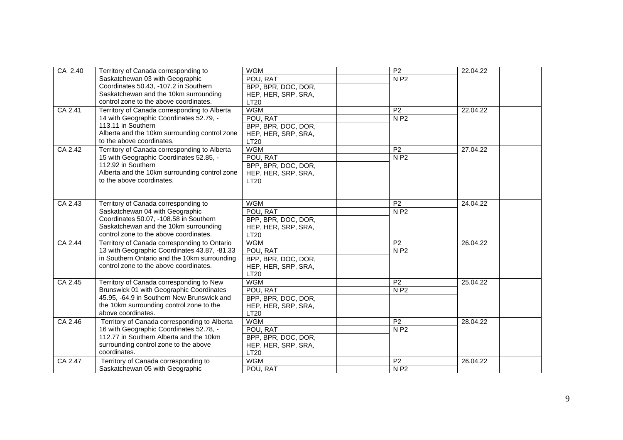| CA 2.40 | Territory of Canada corresponding to          | <b>WGM</b>          | $\overline{P2}$ | 22.04.22 |  |
|---------|-----------------------------------------------|---------------------|-----------------|----------|--|
|         | Saskatchewan 03 with Geographic               | POU, RAT            | <b>NP2</b>      |          |  |
|         | Coordinates 50.43, -107.2 in Southern         | BPP, BPR, DOC, DOR, |                 |          |  |
|         | Saskatchewan and the 10km surrounding         | HEP, HER, SRP, SRA, |                 |          |  |
|         | control zone to the above coordinates.        | <b>LT20</b>         |                 |          |  |
| CA 2.41 | Territory of Canada corresponding to Alberta  | <b>WGM</b>          | $\overline{P2}$ | 22.04.22 |  |
|         | 14 with Geographic Coordinates 52.79, -       | POU, RAT            | N P2            |          |  |
|         | 113.11 in Southern                            | BPP, BPR, DOC, DOR, |                 |          |  |
|         | Alberta and the 10km surrounding control zone | HEP, HER, SRP, SRA, |                 |          |  |
|         | to the above coordinates.                     | <b>LT20</b>         |                 |          |  |
| CA 2.42 | Territory of Canada corresponding to Alberta  | <b>WGM</b>          | P <sub>2</sub>  | 27.04.22 |  |
|         | 15 with Geographic Coordinates 52.85, -       | POU, RAT            | N P2            |          |  |
|         | 112.92 in Southern                            | BPP, BPR, DOC, DOR, |                 |          |  |
|         | Alberta and the 10km surrounding control zone | HEP, HER, SRP, SRA, |                 |          |  |
|         | to the above coordinates.                     | <b>LT20</b>         |                 |          |  |
|         |                                               |                     |                 |          |  |
|         |                                               |                     |                 |          |  |
| CA 2.43 | Territory of Canada corresponding to          | <b>WGM</b>          | P <sub>2</sub>  | 24.04.22 |  |
|         | Saskatchewan 04 with Geographic               | POU, RAT            | N P2            |          |  |
|         | Coordinates 50.07, -108.58 in Southern        | BPP, BPR, DOC, DOR, |                 |          |  |
|         | Saskatchewan and the 10km surrounding         | HEP, HER, SRP, SRA, |                 |          |  |
|         | control zone to the above coordinates.        | <b>LT20</b>         |                 |          |  |
| CA 2.44 | Territory of Canada corresponding to Ontario  | <b>WGM</b>          | $\overline{P2}$ | 26.04.22 |  |
|         | 13 with Geographic Coordinates 43.87, -81.33  | POU, RAT            | N P2            |          |  |
|         | in Southern Ontario and the 10km surrounding  | BPP, BPR, DOC, DOR, |                 |          |  |
|         | control zone to the above coordinates.        | HEP, HER, SRP, SRA, |                 |          |  |
|         |                                               | <b>LT20</b>         |                 |          |  |
| CA 2.45 | Territory of Canada corresponding to New      | <b>WGM</b>          | $\overline{P2}$ | 25.04.22 |  |
|         | Brunswick 01 with Geographic Coordinates      | POU, RAT            | N <sub>P2</sub> |          |  |
|         | 45.95, -64.9 in Southern New Brunswick and    | BPP, BPR, DOC, DOR, |                 |          |  |
|         | the 10km surrounding control zone to the      | HEP, HER, SRP, SRA, |                 |          |  |
|         | above coordinates.                            | <b>LT20</b>         |                 |          |  |
| CA 2.46 | Territory of Canada corresponding to Alberta  | <b>WGM</b>          | P <sub>2</sub>  | 28.04.22 |  |
|         | 16 with Geographic Coordinates 52.78, -       | POU, RAT            | N P2            |          |  |
|         | 112.77 in Southern Alberta and the 10km       | BPP, BPR, DOC, DOR, |                 |          |  |
|         | surrounding control zone to the above         | HEP, HER, SRP, SRA, |                 |          |  |
|         | coordinates.                                  | LT20                |                 |          |  |
| CA 2.47 | Territory of Canada corresponding to          | <b>WGM</b>          | $\overline{P2}$ | 26.04.22 |  |
|         | Saskatchewan 05 with Geographic               | POU, RAT            | <b>NP2</b>      |          |  |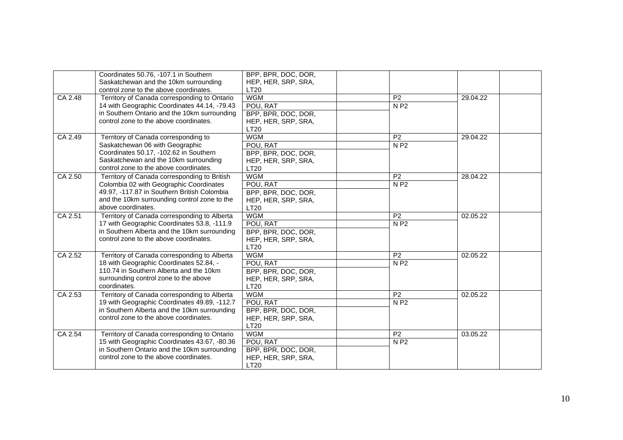|         | Coordinates 50.76, -107.1 in Southern<br>Saskatchewan and the 10km surrounding<br>control zone to the above coordinates.                                                                                     | BPP, BPR, DOC, DOR,<br>HEP, HER, SRP, SRA,<br><b>LT20</b>                           |                        |          |
|---------|--------------------------------------------------------------------------------------------------------------------------------------------------------------------------------------------------------------|-------------------------------------------------------------------------------------|------------------------|----------|
| CA 2.48 | Territory of Canada corresponding to Ontario<br>14 with Geographic Coordinates 44.14, -79.43<br>in Southern Ontario and the 10km surrounding                                                                 | <b>WGM</b><br>POU, RAT<br>BPP, BPR, DOC, DOR,                                       | P <sub>2</sub><br>N P2 | 29.04.22 |
|         | control zone to the above coordinates.                                                                                                                                                                       | HEP, HER, SRP, SRA,<br><b>LT20</b>                                                  |                        |          |
| CA 2.49 | Territory of Canada corresponding to<br>Saskatchewan 06 with Geographic<br>Coordinates 50.17, -102.62 in Southern<br>Saskatchewan and the 10km surrounding<br>control zone to the above coordinates.         | <b>WGM</b><br>POU, RAT<br>BPP, BPR, DOC, DOR,<br>HEP, HER, SRP, SRA,<br><b>LT20</b> | P <sub>2</sub><br>N P2 | 29.04.22 |
| CA 2.50 | Territory of Canada corresponding to British<br>Colombia 02 with Geographic Coordinates<br>49.97, -117.87 in Southern British Colombia<br>and the 10km surrounding control zone to the<br>above coordinates. | <b>WGM</b><br>POU, RAT<br>BPP, BPR, DOC, DOR,<br>HEP, HER, SRP, SRA,<br><b>LT20</b> | P <sub>2</sub><br>N P2 | 28.04.22 |
| CA 2.51 | Territory of Canada corresponding to Alberta<br>17 with Geographic Coordinates 53.8, -111.9<br>in Southern Alberta and the 10km surrounding<br>control zone to the above coordinates.                        | <b>WGM</b><br>POU, RAT<br>BPP, BPR, DOC, DOR,<br>HEP, HER, SRP, SRA,<br><b>LT20</b> | P <sub>2</sub><br>N P2 | 02.05.22 |
| CA 2.52 | Territory of Canada corresponding to Alberta<br>18 with Geographic Coordinates 52.84, -<br>110.74 in Southern Alberta and the 10km<br>surrounding control zone to the above<br>coordinates.                  | <b>WGM</b><br>POU, RAT<br>BPP, BPR, DOC, DOR,<br>HEP, HER, SRP, SRA,<br>LT20        | P <sub>2</sub><br>N P2 | 02.05.22 |
| CA 2.53 | Territory of Canada corresponding to Alberta<br>19 with Geographic Coordinates 49.89, -112.7<br>in Southern Alberta and the 10km surrounding<br>control zone to the above coordinates.                       | <b>WGM</b><br>POU, RAT<br>BPP, BPR, DOC, DOR,<br>HEP, HER, SRP, SRA,<br><b>LT20</b> | P <sub>2</sub><br>N P2 | 02.05.22 |
| CA 2.54 | Territory of Canada corresponding to Ontario<br>15 with Geographic Coordinates 43.67, -80.36<br>in Southern Ontario and the 10km surrounding<br>control zone to the above coordinates.                       | <b>WGM</b><br>POU, RAT<br>BPP, BPR, DOC, DOR,<br>HEP, HER, SRP, SRA,<br>LT20        | P <sub>2</sub><br>N P2 | 03.05.22 |